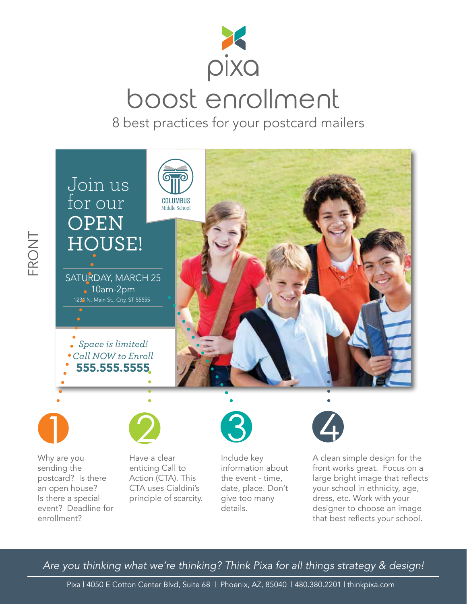

## boost enrollment

8 best practices for your postcard mailers



Why are you sending the postcard? Is there an open house? Is there a special event? Deadline for enrollment?

FRONT

Have a clear enticing Call to Action (CTA). This CTA uses Cialdini's principle of scarcity.



Include key information about the event - time, date, place. Don't give too many details.



A clean simple design for the front works great. Focus on a large bright image that reflects your school in ethnicity, age, dress, etc. Work with your designer to choose an image that best reflects your school.

*Are you thinking what we're thinking? Think Pixa for all things strategy & design!*

Pixa | 4050 E Cotton Center Blvd, Suite 68 | Phoenix, AZ, 85040 | 480.380.2201 | thinkpixa.com